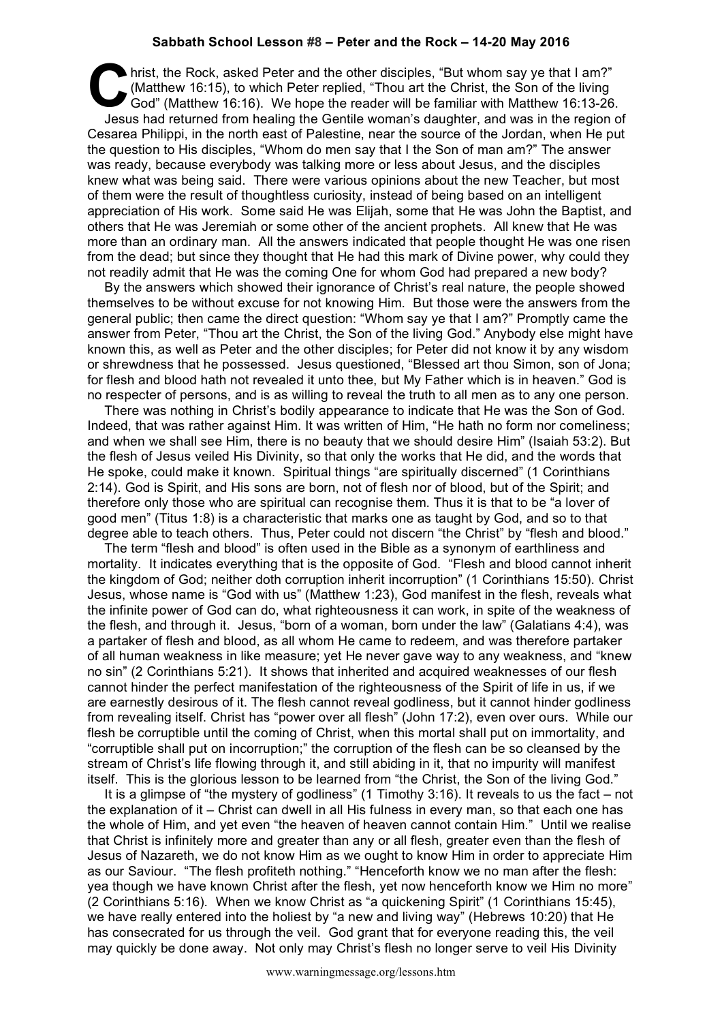## **Sabbath School Lesson #8 – Peter and the Rock – 14-20 May 2016**

hrist, the Rock, asked Peter and the other disciples, "But whom say ye that I am?"<br>
(Matthew 16:15), to which Peter replied, "Thou art the Christ, the Son of the living<br>
God" (Matthew 16:16). We hope the reader will be fam (Matthew 16:15), to which Peter replied, "Thou art the Christ, the Son of the living God" (Matthew 16:16). We hope the reader will be familiar with Matthew 16:13-26. Jesus had returned from healing the Gentile woman's daughter, and was in the region of Cesarea Philippi, in the north east of Palestine, near the source of the Jordan, when He put the question to His disciples, "Whom do men say that I the Son of man am?" The answer was ready, because everybody was talking more or less about Jesus, and the disciples knew what was being said. There were various opinions about the new Teacher, but most of them were the result of thoughtless curiosity, instead of being based on an intelligent appreciation of His work. Some said He was Elijah, some that He was John the Baptist, and others that He was Jeremiah or some other of the ancient prophets. All knew that He was more than an ordinary man. All the answers indicated that people thought He was one risen from the dead; but since they thought that He had this mark of Divine power, why could they not readily admit that He was the coming One for whom God had prepared a new body?

By the answers which showed their ignorance of Christ's real nature, the people showed themselves to be without excuse for not knowing Him. But those were the answers from the general public; then came the direct question: "Whom say ye that I am?" Promptly came the answer from Peter, "Thou art the Christ, the Son of the living God." Anybody else might have known this, as well as Peter and the other disciples; for Peter did not know it by any wisdom or shrewdness that he possessed. Jesus questioned, "Blessed art thou Simon, son of Jona; for flesh and blood hath not revealed it unto thee, but My Father which is in heaven." God is no respecter of persons, and is as willing to reveal the truth to all men as to any one person.

There was nothing in Christ's bodily appearance to indicate that He was the Son of God. Indeed, that was rather against Him. It was written of Him, "He hath no form nor comeliness; and when we shall see Him, there is no beauty that we should desire Him" (Isaiah 53:2). But the flesh of Jesus veiled His Divinity, so that only the works that He did, and the words that He spoke, could make it known. Spiritual things "are spiritually discerned" (1 Corinthians 2:14). God is Spirit, and His sons are born, not of flesh nor of blood, but of the Spirit; and therefore only those who are spiritual can recognise them. Thus it is that to be "a lover of good men" (Titus 1:8) is a characteristic that marks one as taught by God, and so to that degree able to teach others. Thus, Peter could not discern "the Christ" by "flesh and blood."

The term "flesh and blood" is often used in the Bible as a synonym of earthliness and mortality. It indicates everything that is the opposite of God. "Flesh and blood cannot inherit the kingdom of God; neither doth corruption inherit incorruption" (1 Corinthians 15:50). Christ Jesus, whose name is "God with us" (Matthew 1:23), God manifest in the flesh, reveals what the infinite power of God can do, what righteousness it can work, in spite of the weakness of the flesh, and through it. Jesus, "born of a woman, born under the law" (Galatians 4:4), was a partaker of flesh and blood, as all whom He came to redeem, and was therefore partaker of all human weakness in like measure; yet He never gave way to any weakness, and "knew no sin" (2 Corinthians 5:21). It shows that inherited and acquired weaknesses of our flesh cannot hinder the perfect manifestation of the righteousness of the Spirit of life in us, if we are earnestly desirous of it. The flesh cannot reveal godliness, but it cannot hinder godliness from revealing itself. Christ has "power over all flesh" (John 17:2), even over ours. While our flesh be corruptible until the coming of Christ, when this mortal shall put on immortality, and "corruptible shall put on incorruption;" the corruption of the flesh can be so cleansed by the stream of Christ's life flowing through it, and still abiding in it, that no impurity will manifest itself. This is the glorious lesson to be learned from "the Christ, the Son of the living God."

It is a glimpse of "the mystery of godliness" (1 Timothy 3:16). It reveals to us the fact – not the explanation of it – Christ can dwell in all His fulness in every man, so that each one has the whole of Him, and yet even "the heaven of heaven cannot contain Him." Until we realise that Christ is infinitely more and greater than any or all flesh, greater even than the flesh of Jesus of Nazareth, we do not know Him as we ought to know Him in order to appreciate Him as our Saviour. "The flesh profiteth nothing." "Henceforth know we no man after the flesh: yea though we have known Christ after the flesh, yet now henceforth know we Him no more" (2 Corinthians 5:16). When we know Christ as "a quickening Spirit" (1 Corinthians 15:45), we have really entered into the holiest by "a new and living way" (Hebrews 10:20) that He has consecrated for us through the veil. God grant that for everyone reading this, the veil may quickly be done away. Not only may Christ's flesh no longer serve to veil His Divinity